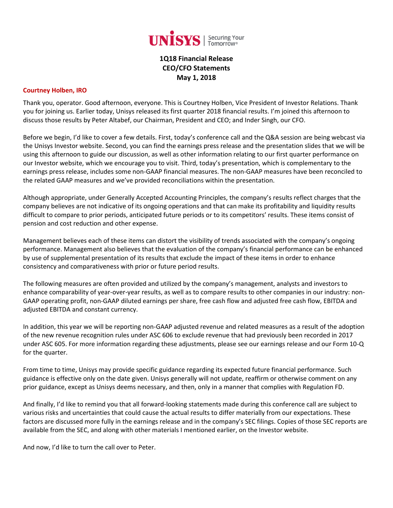

# **1Q18 Financial Release CEO/CFO Statements May 1, 2018**

#### **Courtney Holben, IRO**

Thank you, operator. Good afternoon, everyone. This is Courtney Holben, Vice President of Investor Relations. Thank you for joining us. Earlier today, Unisys released its first quarter 2018 financial results. I'm joined this afternoon to discuss those results by Peter Altabef, our Chairman, President and CEO; and Inder Singh, our CFO.

Before we begin, I'd like to cover a few details. First, today's conference call and the Q&A session are being webcast via the Unisys Investor website. Second, you can find the earnings press release and the presentation slides that we will be using this afternoon to guide our discussion, as well as other information relating to our first quarter performance on our Investor website, which we encourage you to visit. Third, today's presentation, which is complementary to the earnings press release, includes some non-GAAP financial measures. The non-GAAP measures have been reconciled to the related GAAP measures and we've provided reconciliations within the presentation.

Although appropriate, under Generally Accepted Accounting Principles, the company's results reflect charges that the company believes are not indicative of its ongoing operations and that can make its profitability and liquidity results difficult to compare to prior periods, anticipated future periods or to its competitors' results. These items consist of pension and cost reduction and other expense.

Management believes each of these items can distort the visibility of trends associated with the company's ongoing performance. Management also believes that the evaluation of the company's financial performance can be enhanced by use of supplemental presentation of its results that exclude the impact of these items in order to enhance consistency and comparativeness with prior or future period results.

The following measures are often provided and utilized by the company's management, analysts and investors to enhance comparability of year-over-year results, as well as to compare results to other companies in our industry: non-GAAP operating profit, non-GAAP diluted earnings per share, free cash flow and adjusted free cash flow, EBITDA and adjusted EBITDA and constant currency.

In addition, this year we will be reporting non-GAAP adjusted revenue and related measures as a result of the adoption of the new revenue recognition rules under ASC 606 to exclude revenue that had previously been recorded in 2017 under ASC 605. For more information regarding these adjustments, please see our earnings release and our Form 10-Q for the quarter.

From time to time, Unisys may provide specific guidance regarding its expected future financial performance. Such guidance is effective only on the date given. Unisys generally will not update, reaffirm or otherwise comment on any prior guidance, except as Unisys deems necessary, and then, only in a manner that complies with Regulation FD.

And finally, I'd like to remind you that all forward-looking statements made during this conference call are subject to various risks and uncertainties that could cause the actual results to differ materially from our expectations. These factors are discussed more fully in the earnings release and in the company's SEC filings. Copies of those SEC reports are available from the SEC, and along with other materials I mentioned earlier, on the Investor website.

And now, I'd like to turn the call over to Peter.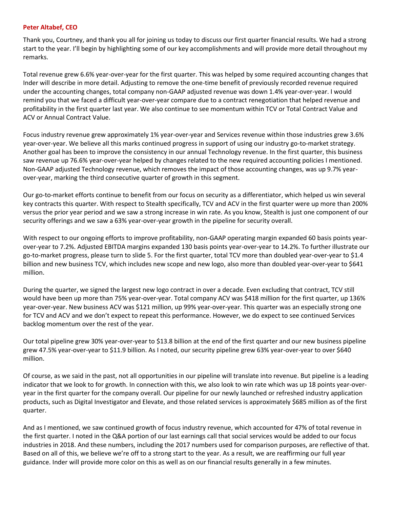#### **Peter Altabef, CEO**

Thank you, Courtney, and thank you all for joining us today to discuss our first quarter financial results. We had a strong start to the year. I'll begin by highlighting some of our key accomplishments and will provide more detail throughout my remarks.

Total revenue grew 6.6% year-over-year for the first quarter. This was helped by some required accounting changes that Inder will describe in more detail. Adjusting to remove the one-time benefit of previously recorded revenue required under the accounting changes, total company non-GAAP adjusted revenue was down 1.4% year-over-year. I would remind you that we faced a difficult year-over-year compare due to a contract renegotiation that helped revenue and profitability in the first quarter last year. We also continue to see momentum within TCV or Total Contract Value and ACV or Annual Contract Value.

Focus industry revenue grew approximately 1% year-over-year and Services revenue within those industries grew 3.6% year-over-year. We believe all this marks continued progress in support of using our industry go-to-market strategy. Another goal has been to improve the consistency in our annual Technology revenue. In the first quarter, this business saw revenue up 76.6% year-over-year helped by changes related to the new required accounting policies I mentioned. Non-GAAP adjusted Technology revenue, which removes the impact of those accounting changes, was up 9.7% yearover-year, marking the third consecutive quarter of growth in this segment.

Our go-to-market efforts continue to benefit from our focus on security as a differentiator, which helped us win several key contracts this quarter. With respect to Stealth specifically, TCV and ACV in the first quarter were up more than 200% versus the prior year period and we saw a strong increase in win rate. As you know, Stealth is just one component of our security offerings and we saw a 63% year-over-year growth in the pipeline for security overall.

With respect to our ongoing efforts to improve profitability, non-GAAP operating margin expanded 60 basis points yearover-year to 7.2%. Adjusted EBITDA margins expanded 130 basis points year-over-year to 14.2%. To further illustrate our go-to-market progress, please turn to slide 5. For the first quarter, total TCV more than doubled year-over-year to \$1.4 billion and new business TCV, which includes new scope and new logo, also more than doubled year-over-year to \$641 million.

During the quarter, we signed the largest new logo contract in over a decade. Even excluding that contract, TCV still would have been up more than 75% year-over-year. Total company ACV was \$418 million for the first quarter, up 136% year-over-year. New business ACV was \$121 million, up 99% year-over-year. This quarter was an especially strong one for TCV and ACV and we don't expect to repeat this performance. However, we do expect to see continued Services backlog momentum over the rest of the year.

Our total pipeline grew 30% year-over-year to \$13.8 billion at the end of the first quarter and our new business pipeline grew 47.5% year-over-year to \$11.9 billion. As I noted, our security pipeline grew 63% year-over-year to over \$640 million.

Of course, as we said in the past, not all opportunities in our pipeline will translate into revenue. But pipeline is a leading indicator that we look to for growth. In connection with this, we also look to win rate which was up 18 points year-overyear in the first quarter for the company overall. Our pipeline for our newly launched or refreshed industry application products, such as Digital Investigator and Elevate, and those related services is approximately \$685 million as of the first quarter.

And as I mentioned, we saw continued growth of focus industry revenue, which accounted for 47% of total revenue in the first quarter. I noted in the Q&A portion of our last earnings call that social services would be added to our focus industries in 2018. And these numbers, including the 2017 numbers used for comparison purposes, are reflective of that. Based on all of this, we believe we're off to a strong start to the year. As a result, we are reaffirming our full year guidance. Inder will provide more color on this as well as on our financial results generally in a few minutes.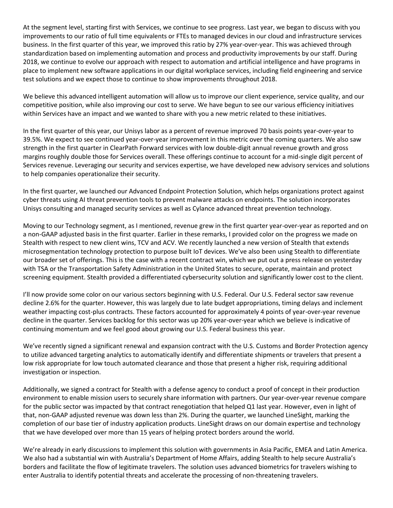At the segment level, starting first with Services, we continue to see progress. Last year, we began to discuss with you improvements to our ratio of full time equivalents or FTEs to managed devices in our cloud and infrastructure services business. In the first quarter of this year, we improved this ratio by 27% year-over-year. This was achieved through standardization based on implementing automation and process and productivity improvements by our staff. During 2018, we continue to evolve our approach with respect to automation and artificial intelligence and have programs in place to implement new software applications in our digital workplace services, including field engineering and service test solutions and we expect those to continue to show improvements throughout 2018.

We believe this advanced intelligent automation will allow us to improve our client experience, service quality, and our competitive position, while also improving our cost to serve. We have begun to see our various efficiency initiatives within Services have an impact and we wanted to share with you a new metric related to these initiatives.

In the first quarter of this year, our Unisys labor as a percent of revenue improved 70 basis points year-over-year to 39.5%. We expect to see continued year-over-year improvement in this metric over the coming quarters. We also saw strength in the first quarter in ClearPath Forward services with low double-digit annual revenue growth and gross margins roughly double those for Services overall. These offerings continue to account for a mid-single digit percent of Services revenue. Leveraging our security and services expertise, we have developed new advisory services and solutions to help companies operationalize their security.

In the first quarter, we launched our Advanced Endpoint Protection Solution, which helps organizations protect against cyber threats using AI threat prevention tools to prevent malware attacks on endpoints. The solution incorporates Unisys consulting and managed security services as well as Cylance advanced threat prevention technology.

Moving to our Technology segment, as I mentioned, revenue grew in the first quarter year-over-year as reported and on a non-GAAP adjusted basis in the first quarter. Earlier in these remarks, I provided color on the progress we made on Stealth with respect to new client wins, TCV and ACV. We recently launched a new version of Stealth that extends microsegmentation technology protection to purpose built IoT devices. We've also been using Stealth to differentiate our broader set of offerings. This is the case with a recent contract win, which we put out a press release on yesterday with TSA or the Transportation Safety Administration in the United States to secure, operate, maintain and protect screening equipment. Stealth provided a differentiated cybersecurity solution and significantly lower cost to the client.

I'll now provide some color on our various sectors beginning with U.S. Federal. Our U.S. Federal sector saw revenue decline 2.6% for the quarter. However, this was largely due to late budget appropriations, timing delays and inclement weather impacting cost-plus contracts. These factors accounted for approximately 4 points of year-over-year revenue decline in the quarter. Services backlog for this sector was up 20% year-over-year which we believe is indicative of continuing momentum and we feel good about growing our U.S. Federal business this year.

We've recently signed a significant renewal and expansion contract with the U.S. Customs and Border Protection agency to utilize advanced targeting analytics to automatically identify and differentiate shipments or travelers that present a low risk appropriate for low touch automated clearance and those that present a higher risk, requiring additional investigation or inspection.

Additionally, we signed a contract for Stealth with a defense agency to conduct a proof of concept in their production environment to enable mission users to securely share information with partners. Our year-over-year revenue compare for the public sector was impacted by that contract renegotiation that helped Q1 last year. However, even in light of that, non-GAAP adjusted revenue was down less than 2%. During the quarter, we launched LineSight, marking the completion of our base tier of industry application products. LineSight draws on our domain expertise and technology that we have developed over more than 15 years of helping protect borders around the world.

We're already in early discussions to implement this solution with governments in Asia Pacific, EMEA and Latin America. We also had a substantial win with Australia's Department of Home Affairs, adding Stealth to help secure Australia's borders and facilitate the flow of legitimate travelers. The solution uses advanced biometrics for travelers wishing to enter Australia to identify potential threats and accelerate the processing of non-threatening travelers.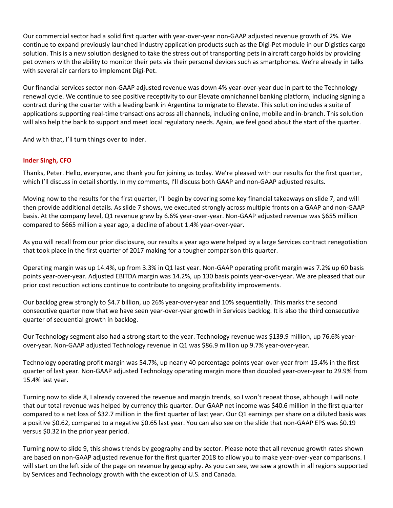Our commercial sector had a solid first quarter with year-over-year non-GAAP adjusted revenue growth of 2%. We continue to expand previously launched industry application products such as the Digi-Pet module in our Digistics cargo solution. This is a new solution designed to take the stress out of transporting pets in aircraft cargo holds by providing pet owners with the ability to monitor their pets via their personal devices such as smartphones. We're already in talks with several air carriers to implement Digi-Pet.

Our financial services sector non-GAAP adjusted revenue was down 4% year-over-year due in part to the Technology renewal cycle. We continue to see positive receptivity to our Elevate omnichannel banking platform, including signing a contract during the quarter with a leading bank in Argentina to migrate to Elevate. This solution includes a suite of applications supporting real-time transactions across all channels, including online, mobile and in-branch. This solution will also help the bank to support and meet local regulatory needs. Again, we feel good about the start of the quarter.

And with that, I'll turn things over to Inder.

## **Inder Singh, CFO**

Thanks, Peter. Hello, everyone, and thank you for joining us today. We're pleased with our results for the first quarter, which I'll discuss in detail shortly. In my comments, I'll discuss both GAAP and non-GAAP adjusted results.

Moving now to the results for the first quarter, I'll begin by covering some key financial takeaways on slide 7, and will then provide additional details. As slide 7 shows, we executed strongly across multiple fronts on a GAAP and non-GAAP basis. At the company level, Q1 revenue grew by 6.6% year-over-year. Non-GAAP adjusted revenue was \$655 million compared to \$665 million a year ago, a decline of about 1.4% year-over-year.

As you will recall from our prior disclosure, our results a year ago were helped by a large Services contract renegotiation that took place in the first quarter of 2017 making for a tougher comparison this quarter.

Operating margin was up 14.4%, up from 3.3% in Q1 last year. Non-GAAP operating profit margin was 7.2% up 60 basis points year-over-year. Adjusted EBITDA margin was 14.2%, up 130 basis points year-over-year. We are pleased that our prior cost reduction actions continue to contribute to ongoing profitability improvements.

Our backlog grew strongly to \$4.7 billion, up 26% year-over-year and 10% sequentially. This marks the second consecutive quarter now that we have seen year-over-year growth in Services backlog. It is also the third consecutive quarter of sequential growth in backlog.

Our Technology segment also had a strong start to the year. Technology revenue was \$139.9 million, up 76.6% yearover-year. Non-GAAP adjusted Technology revenue in Q1 was \$86.9 million up 9.7% year-over-year.

Technology operating profit margin was 54.7%, up nearly 40 percentage points year-over-year from 15.4% in the first quarter of last year. Non-GAAP adjusted Technology operating margin more than doubled year-over-year to 29.9% from 15.4% last year.

Turning now to slide 8, I already covered the revenue and margin trends, so I won't repeat those, although I will note that our total revenue was helped by currency this quarter. Our GAAP net income was \$40.6 million in the first quarter compared to a net loss of \$32.7 million in the first quarter of last year. Our Q1 earnings per share on a diluted basis was a positive \$0.62, compared to a negative \$0.65 last year. You can also see on the slide that non-GAAP EPS was \$0.19 versus \$0.32 in the prior year period.

Turning now to slide 9, this shows trends by geography and by sector. Please note that all revenue growth rates shown are based on non-GAAP adjusted revenue for the first quarter 2018 to allow you to make year-over-year comparisons. I will start on the left side of the page on revenue by geography. As you can see, we saw a growth in all regions supported by Services and Technology growth with the exception of U.S. and Canada.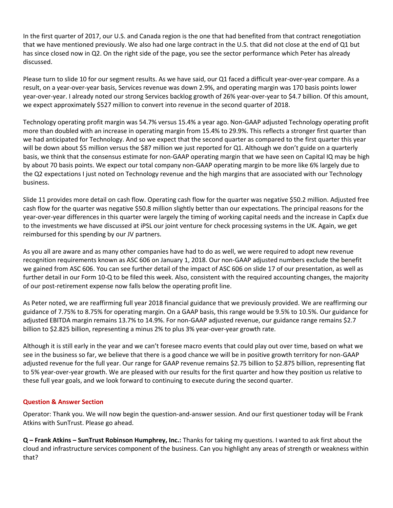In the first quarter of 2017, our U.S. and Canada region is the one that had benefited from that contract renegotiation that we have mentioned previously. We also had one large contract in the U.S. that did not close at the end of Q1 but has since closed now in Q2. On the right side of the page, you see the sector performance which Peter has already discussed.

Please turn to slide 10 for our segment results. As we have said, our Q1 faced a difficult year-over-year compare. As a result, on a year-over-year basis, Services revenue was down 2.9%, and operating margin was 170 basis points lower year-over-year. I already noted our strong Services backlog growth of 26% year-over-year to \$4.7 billion. Of this amount, we expect approximately \$527 million to convert into revenue in the second quarter of 2018.

Technology operating profit margin was 54.7% versus 15.4% a year ago. Non-GAAP adjusted Technology operating profit more than doubled with an increase in operating margin from 15.4% to 29.9%. This reflects a stronger first quarter than we had anticipated for Technology. And so we expect that the second quarter as compared to the first quarter this year will be down about \$5 million versus the \$87 million we just reported for Q1. Although we don't guide on a quarterly basis, we think that the consensus estimate for non-GAAP operating margin that we have seen on Capital IQ may be high by about 70 basis points. We expect our total company non-GAAP operating margin to be more like 6% largely due to the Q2 expectations I just noted on Technology revenue and the high margins that are associated with our Technology business.

Slide 11 provides more detail on cash flow. Operating cash flow for the quarter was negative \$50.2 million. Adjusted free cash flow for the quarter was negative \$50.8 million slightly better than our expectations. The principal reasons for the year-over-year differences in this quarter were largely the timing of working capital needs and the increase in CapEx due to the investments we have discussed at iPSL our joint venture for check processing systems in the UK. Again, we get reimbursed for this spending by our JV partners.

As you all are aware and as many other companies have had to do as well, we were required to adopt new revenue recognition requirements known as ASC 606 on January 1, 2018. Our non-GAAP adjusted numbers exclude the benefit we gained from ASC 606. You can see further detail of the impact of ASC 606 on slide 17 of our presentation, as well as further detail in our Form 10-Q to be filed this week. Also, consistent with the required accounting changes, the majority of our post-retirement expense now falls below the operating profit line.

As Peter noted, we are reaffirming full year 2018 financial guidance that we previously provided. We are reaffirming our guidance of 7.75% to 8.75% for operating margin. On a GAAP basis, this range would be 9.5% to 10.5%. Our guidance for adjusted EBITDA margin remains 13.7% to 14.9%. For non-GAAP adjusted revenue, our guidance range remains \$2.7 billion to \$2.825 billion, representing a minus 2% to plus 3% year-over-year growth rate.

Although it is still early in the year and we can't foresee macro events that could play out over time, based on what we see in the business so far, we believe that there is a good chance we will be in positive growth territory for non-GAAP adjusted revenue for the full year. Our range for GAAP revenue remains \$2.75 billion to \$2.875 billion, representing flat to 5% year-over-year growth. We are pleased with our results for the first quarter and how they position us relative to these full year goals, and we look forward to continuing to execute during the second quarter.

### **Question & Answer Section**

Operator: Thank you. We will now begin the question-and-answer session. And our first questioner today will be Frank Atkins with SunTrust. Please go ahead.

**Q – Frank Atkins – SunTrust Robinson Humphrey, Inc.:** Thanks for taking my questions. I wanted to ask first about the cloud and infrastructure services component of the business. Can you highlight any areas of strength or weakness within that?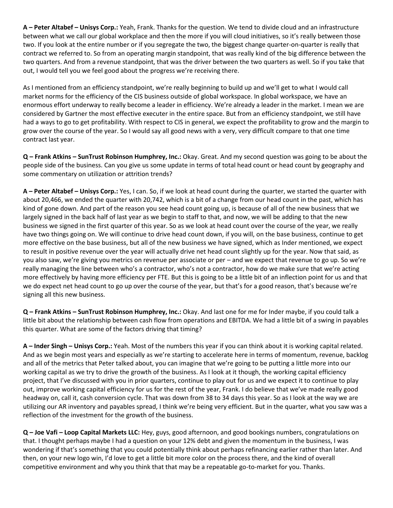**A – Peter Altabef – Unisys Corp.:** Yeah, Frank. Thanks for the question. We tend to divide cloud and an infrastructure between what we call our global workplace and then the more if you will cloud initiatives, so it's really between those two. If you look at the entire number or if you segregate the two, the biggest change quarter-on-quarter is really that contract we referred to. So from an operating margin standpoint, that was really kind of the big difference between the two quarters. And from a revenue standpoint, that was the driver between the two quarters as well. So if you take that out, I would tell you we feel good about the progress we're receiving there.

As I mentioned from an efficiency standpoint, we're really beginning to build up and we'll get to what I would call market norms for the efficiency of the CIS business outside of global workspace. In global workspace, we have an enormous effort underway to really become a leader in efficiency. We're already a leader in the market. I mean we are considered by Gartner the most effective executer in the entire space. But from an efficiency standpoint, we still have had a ways to go to get profitability. With respect to CIS in general, we expect the profitability to grow and the margin to grow over the course of the year. So I would say all good news with a very, very difficult compare to that one time contract last year.

**Q – Frank Atkins – SunTrust Robinson Humphrey, Inc.:** Okay. Great. And my second question was going to be about the people side of the business. Can you give us some update in terms of total head count or head count by geography and some commentary on utilization or attrition trends?

**A – Peter Altabef – Unisys Corp.:** Yes, I can. So, if we look at head count during the quarter, we started the quarter with about 20,466, we ended the quarter with 20,742, which is a bit of a change from our head count in the past, which has kind of gone down. And part of the reason you see head count going up, is because of all of the new business that we largely signed in the back half of last year as we begin to staff to that, and now, we will be adding to that the new business we signed in the first quarter of this year. So as we look at head count over the course of the year, we really have two things going on. We will continue to drive head count down, if you will, on the base business, continue to get more effective on the base business, but all of the new business we have signed, which as Inder mentioned, we expect to result in positive revenue over the year will actually drive net head count slightly up for the year. Now that said, as you also saw, we're giving you metrics on revenue per associate or per – and we expect that revenue to go up. So we're really managing the line between who's a contractor, who's not a contractor, how do we make sure that we're acting more effectively by having more efficiency per FTE. But this is going to be a little bit of an inflection point for us and that we do expect net head count to go up over the course of the year, but that's for a good reason, that's because we're signing all this new business.

**Q – Frank Atkins – SunTrust Robinson Humphrey, Inc.:** Okay. And last one for me for Inder maybe, if you could talk a little bit about the relationship between cash flow from operations and EBITDA. We had a little bit of a swing in payables this quarter. What are some of the factors driving that timing?

**A – Inder Singh – Unisys Corp.:** Yeah. Most of the numbers this year if you can think about it is working capital related. And as we begin most years and especially as we're starting to accelerate here in terms of momentum, revenue, backlog and all of the metrics that Peter talked about, you can imagine that we're going to be putting a little more into our working capital as we try to drive the growth of the business. As I look at it though, the working capital efficiency project, that I've discussed with you in prior quarters, continue to play out for us and we expect it to continue to play out, improve working capital efficiency for us for the rest of the year, Frank. I do believe that we've made really good headway on, call it, cash conversion cycle. That was down from 38 to 34 days this year. So as I look at the way we are utilizing our AR inventory and payables spread, I think we're being very efficient. But in the quarter, what you saw was a reflection of the investment for the growth of the business.

**Q – Joe Vafi – Loop Capital Markets LLC:** Hey, guys, good afternoon, and good bookings numbers, congratulations on that. I thought perhaps maybe I had a question on your 12% debt and given the momentum in the business, I was wondering if that's something that you could potentially think about perhaps refinancing earlier rather than later. And then, on your new logo win, I'd love to get a little bit more color on the process there, and the kind of overall competitive environment and why you think that that may be a repeatable go-to-market for you. Thanks.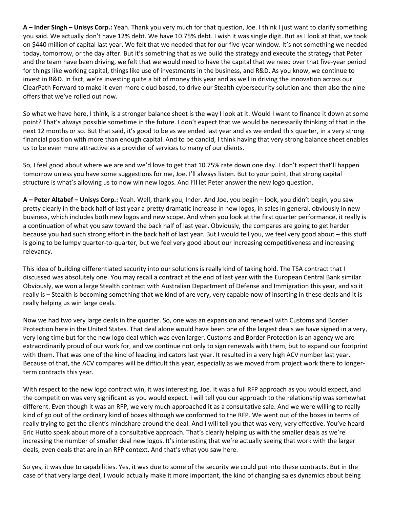**A – Inder Singh – Unisys Corp.:** Yeah. Thank you very much for that question, Joe. I think I just want to clarify something you said. We actually don't have 12% debt. We have 10.75% debt. I wish it was single digit. But as I look at that, we took on \$440 million of capital last year. We felt that we needed that for our five-year window. It's not something we needed today, tomorrow, or the day after. But it's something that as we build the strategy and execute the strategy that Peter and the team have been driving, we felt that we would need to have the capital that we need over that five-year period for things like working capital, things like use of investments in the business, and R&D. As you know, we continue to invest in R&D. In fact, we're investing quite a bit of money this year and as well in driving the innovation across our ClearPath Forward to make it even more cloud based, to drive our Stealth cybersecurity solution and then also the nine offers that we've rolled out now.

So what we have here, I think, is a stronger balance sheet is the way I look at it. Would I want to finance it down at some point? That's always possible sometime in the future. I don't expect that we would be necessarily thinking of that in the next 12 months or so. But that said, it's good to be as we ended last year and as we ended this quarter, in a very strong financial position with more than enough capital. And to be candid, I think having that very strong balance sheet enables us to be even more attractive as a provider of services to many of our clients.

So, I feel good about where we are and we'd love to get that 10.75% rate down one day. I don't expect that'll happen tomorrow unless you have some suggestions for me, Joe. I'll always listen. But to your point, that strong capital structure is what's allowing us to now win new logos. And I'll let Peter answer the new logo question.

**A – Peter Altabef – Unisys Corp.:** Yeah. Well, thank you, Inder. And Joe, you begin – look, you didn't begin, you saw pretty clearly in the back half of last year a pretty dramatic increase in new logos, in sales in general, obviously in new business, which includes both new logos and new scope. And when you look at the first quarter performance, it really is a continuation of what you saw toward the back half of last year. Obviously, the compares are going to get harder because you had such strong effort in the back half of last year. But I would tell you, we feel very good about – this stuff is going to be lumpy quarter-to-quarter, but we feel very good about our increasing competitiveness and increasing relevancy.

This idea of building differentiated security into our solutions is really kind of taking hold. The TSA contract that I discussed was absolutely one. You may recall a contract at the end of last year with the European Central Bank similar. Obviously, we won a large Stealth contract with Australian Department of Defense and Immigration this year, and so it really is – Stealth is becoming something that we kind of are very, very capable now of inserting in these deals and it is really helping us win large deals.

Now we had two very large deals in the quarter. So, one was an expansion and renewal with Customs and Border Protection here in the United States. That deal alone would have been one of the largest deals we have signed in a very, very long time but for the new logo deal which was even larger. Customs and Border Protection is an agency we are extraordinarily proud of our work for, and we continue not only to sign renewals with them, but to expand our footprint with them. That was one of the kind of leading indicators last year. It resulted in a very high ACV number last year. Because of that, the ACV compares will be difficult this year, especially as we moved from project work there to longerterm contracts this year.

With respect to the new logo contract win, it was interesting, Joe. It was a full RFP approach as you would expect, and the competition was very significant as you would expect. I will tell you our approach to the relationship was somewhat different. Even though it was an RFP, we very much approached it as a consultative sale. And we were willing to really kind of go out of the ordinary kind of boxes although we conformed to the RFP. We went out of the boxes in terms of really trying to get the client's mindshare around the deal. And I will tell you that was very, very effective. You've heard Eric Hutto speak about more of a consultative approach. That's clearly helping us with the smaller deals as we're increasing the number of smaller deal new logos. It's interesting that we're actually seeing that work with the larger deals, even deals that are in an RFP context. And that's what you saw here.

So yes, it was due to capabilities. Yes, it was due to some of the security we could put into these contracts. But in the case of that very large deal, I would actually make it more important, the kind of changing sales dynamics about being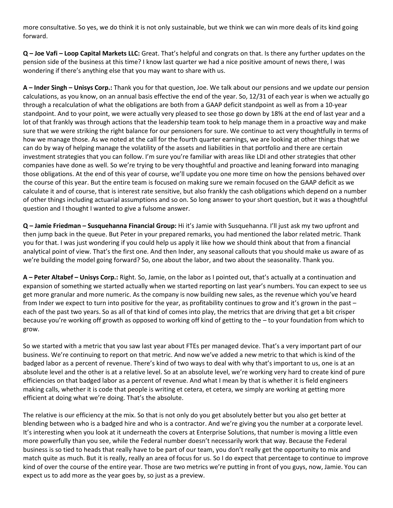more consultative. So yes, we do think it is not only sustainable, but we think we can win more deals of its kind going forward.

**Q – Joe Vafi – Loop Capital Markets LLC:** Great. That's helpful and congrats on that. Is there any further updates on the pension side of the business at this time? I know last quarter we had a nice positive amount of news there, I was wondering if there's anything else that you may want to share with us.

**A – Inder Singh – Unisys Corp.:** Thank you for that question, Joe. We talk about our pensions and we update our pension calculations, as you know, on an annual basis effective the end of the year. So, 12/31 of each year is when we actually go through a recalculation of what the obligations are both from a GAAP deficit standpoint as well as from a 10-year standpoint. And to your point, we were actually very pleased to see those go down by 18% at the end of last year and a lot of that frankly was through actions that the leadership team took to help manage them in a proactive way and make sure that we were striking the right balance for our pensioners for sure. We continue to act very thoughtfully in terms of how we manage those. As we noted at the call for the fourth quarter earnings, we are looking at other things that we can do by way of helping manage the volatility of the assets and liabilities in that portfolio and there are certain investment strategies that you can follow. I'm sure you're familiar with areas like LDI and other strategies that other companies have done as well. So we're trying to be very thoughtful and proactive and leaning forward into managing those obligations. At the end of this year of course, we'll update you one more time on how the pensions behaved over the course of this year. But the entire team is focused on making sure we remain focused on the GAAP deficit as we calculate it and of course, that is interest rate sensitive, but also frankly the cash obligations which depend on a number of other things including actuarial assumptions and so on. So long answer to your short question, but it was a thoughtful question and I thought I wanted to give a fulsome answer.

**Q – Jamie Friedman – Susquehanna Financial Group:** Hi it's Jamie with Susquehanna. I'll just ask my two upfront and then jump back in the queue. But Peter in your prepared remarks, you had mentioned the labor related metric. Thank you for that. I was just wondering if you could help us apply it like how we should think about that from a financial analytical point of view. That's the first one. And then Inder, any seasonal callouts that you should make us aware of as we're building the model going forward? So, one about the labor, and two about the seasonality. Thank you.

**A – Peter Altabef – Unisys Corp.:** Right. So, Jamie, on the labor as I pointed out, that's actually at a continuation and expansion of something we started actually when we started reporting on last year's numbers. You can expect to see us get more granular and more numeric. As the company is now building new sales, as the revenue which you've heard from Inder we expect to turn into positive for the year, as profitability continues to grow and it's grown in the past each of the past two years. So as all of that kind of comes into play, the metrics that are driving that get a bit crisper because you're working off growth as opposed to working off kind of getting to the – to your foundation from which to grow.

So we started with a metric that you saw last year about FTEs per managed device. That's a very important part of our business. We're continuing to report on that metric. And now we've added a new metric to that which is kind of the badged labor as a percent of revenue. There's kind of two ways to deal with why that's important to us, one is at an absolute level and the other is at a relative level. So at an absolute level, we're working very hard to create kind of pure efficiencies on that badged labor as a percent of revenue. And what I mean by that is whether it is field engineers making calls, whether it is code that people is writing et cetera, et cetera, we simply are working at getting more efficient at doing what we're doing. That's the absolute.

The relative is our efficiency at the mix. So that is not only do you get absolutely better but you also get better at blending between who is a badged hire and who is a contractor. And we're giving you the number at a corporate level. It's interesting when you look at it underneath the covers at Enterprise Solutions, that number is moving a little even more powerfully than you see, while the Federal number doesn't necessarily work that way. Because the Federal business is so tied to heads that really have to be part of our team, you don't really get the opportunity to mix and match quite as much. But it is really, really an area of focus for us. So I do expect that percentage to continue to improve kind of over the course of the entire year. Those are two metrics we're putting in front of you guys, now, Jamie. You can expect us to add more as the year goes by, so just as a preview.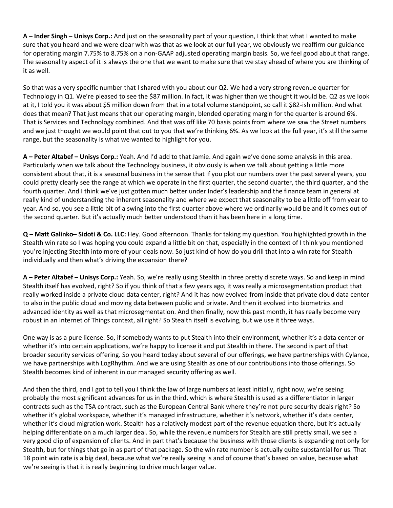**A – Inder Singh – Unisys Corp.:** And just on the seasonality part of your question, I think that what I wanted to make sure that you heard and we were clear with was that as we look at our full year, we obviously we reaffirm our guidance for operating margin 7.75% to 8.75% on a non-GAAP adjusted operating margin basis. So, we feel good about that range. The seasonality aspect of it is always the one that we want to make sure that we stay ahead of where you are thinking of it as well.

So that was a very specific number that I shared with you about our Q2. We had a very strong revenue quarter for Technology in Q1. We're pleased to see the \$87 million. In fact, it was higher than we thought it would be. Q2 as we look at it, I told you it was about \$5 million down from that in a total volume standpoint, so call it \$82-ish million. And what does that mean? That just means that our operating margin, blended operating margin for the quarter is around 6%. That is Services and Technology combined. And that was off like 70 basis points from where we saw the Street numbers and we just thought we would point that out to you that we're thinking 6%. As we look at the full year, it's still the same range, but the seasonality is what we wanted to highlight for you.

**A – Peter Altabef – Unisys Corp.:** Yeah. And I'd add to that Jamie. And again we've done some analysis in this area. Particularly when we talk about the Technology business, it obviously is when we talk about getting a little more consistent about that, it is a seasonal business in the sense that if you plot our numbers over the past several years, you could pretty clearly see the range at which we operate in the first quarter, the second quarter, the third quarter, and the fourth quarter. And I think we've just gotten much better under Inder's leadership and the finance team in general at really kind of understanding the inherent seasonality and where we expect that seasonality to be a little off from year to year. And so, you see a little bit of a swing into the first quarter above where we ordinarily would be and it comes out of the second quarter. But it's actually much better understood than it has been here in a long time.

**Q – Matt Galinko– Sidoti & Co. LLC:** Hey. Good afternoon. Thanks for taking my question. You highlighted growth in the Stealth win rate so I was hoping you could expand a little bit on that, especially in the context of I think you mentioned you're injecting Stealth into more of your deals now. So just kind of how do you drill that into a win rate for Stealth individually and then what's driving the expansion there?

**A – Peter Altabef – Unisys Corp.:** Yeah. So, we're really using Stealth in three pretty discrete ways. So and keep in mind Stealth itself has evolved, right? So if you think of that a few years ago, it was really a microsegmentation product that really worked inside a private cloud data center, right? And it has now evolved from inside that private cloud data center to also in the public cloud and moving data between public and private. And then it evolved into biometrics and advanced identity as well as that microsegmentation. And then finally, now this past month, it has really become very robust in an Internet of Things context, all right? So Stealth itself is evolving, but we use it three ways.

One way is as a pure license. So, if somebody wants to put Stealth into their environment, whether it's a data center or whether it's into certain applications, we're happy to license it and put Stealth in there. The second is part of that broader security services offering. So you heard today about several of our offerings, we have partnerships with Cylance, we have partnerships with LogRhythm. And we are using Stealth as one of our contributions into those offerings. So Stealth becomes kind of inherent in our managed security offering as well.

And then the third, and I got to tell you I think the law of large numbers at least initially, right now, we're seeing probably the most significant advances for us in the third, which is where Stealth is used as a differentiator in larger contracts such as the TSA contract, such as the European Central Bank where they're not pure security deals right? So whether it's global workspace, whether it's managed infrastructure, whether it's network, whether it's data center, whether it's cloud migration work. Stealth has a relatively modest part of the revenue equation there, but it's actually helping differentiate on a much larger deal. So, while the revenue numbers for Stealth are still pretty small, we see a very good clip of expansion of clients. And in part that's because the business with those clients is expanding not only for Stealth, but for things that go in as part of that package. So the win rate number is actually quite substantial for us. That 18 point win rate is a big deal, because what we're really seeing is and of course that's based on value, because what we're seeing is that it is really beginning to drive much larger value.